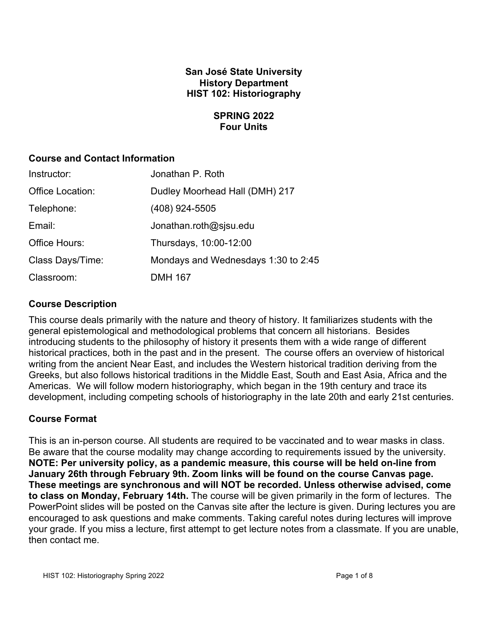# **San José State University History Department HIST 102: Historiography**

## **SPRING 2022 Four Units**

## **Course and Contact Information**

| Instructor:      | Jonathan P. Roth                    |
|------------------|-------------------------------------|
| Office Location: | Dudley Moorhead Hall (DMH) 217      |
| Telephone:       | (408) 924-5505                      |
| Email:           | Jonathan.roth@sjsu.edu              |
| Office Hours:    | Thursdays, 10:00-12:00              |
| Class Days/Time: | Mondays and Wednesdays 1:30 to 2:45 |
| Classroom:       | <b>DMH 167</b>                      |

# **Course Description**

This course deals primarily with the nature and theory of history. It familiarizes students with the general epistemological and methodological problems that concern all historians. Besides introducing students to the philosophy of history it presents them with a wide range of different historical practices, both in the past and in the present. The course offers an overview of historical writing from the ancient Near East, and includes the Western historical tradition deriving from the Greeks, but also follows historical traditions in the Middle East, South and East Asia, Africa and the Americas. We will follow modern historiography, which began in the 19th century and trace its development, including competing schools of historiography in the late 20th and early 21st centuries.

# **Course Format**

This is an in-person course. All students are required to be vaccinated and to wear masks in class. Be aware that the course modality may change according to requirements issued by the university. **NOTE: Per university policy, as a pandemic measure, this course will be held on-line from January 26th through February 9th. Zoom links will be found on the course Canvas page. These meetings are synchronous and will NOT be recorded. Unless otherwise advised, come to class on Monday, February 14th.** The course will be given primarily in the form of lectures. The PowerPoint slides will be posted on the Canvas site after the lecture is given. During lectures you are encouraged to ask questions and make comments. Taking careful notes during lectures will improve your grade. If you miss a lecture, first attempt to get lecture notes from a classmate. If you are unable, then contact me.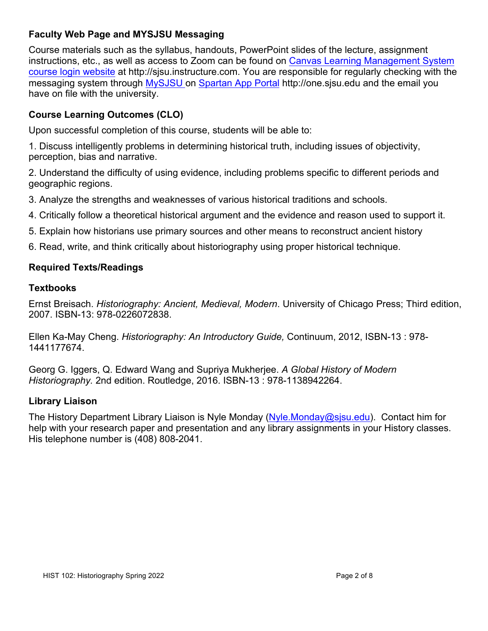# **Faculty Web Page and MYSJSU Messaging**

Course materials such as the syllabus, handouts, PowerPoint slides of the lecture, assignment instructions, etc., as well as access to Zoom can be found on Canvas Learning Management System course login website at http://sjsu.instructure.com. You are responsible for regularly checking with the messaging system through MySJSU on Spartan App Portal http://one.sjsu.edu and the email you have on file with the university.

# **Course Learning Outcomes (CLO)**

Upon successful completion of this course, students will be able to:

1. Discuss intelligently problems in determining historical truth, including issues of objectivity, perception, bias and narrative.

2. Understand the difficulty of using evidence, including problems specific to different periods and geographic regions.

3. Analyze the strengths and weaknesses of various historical traditions and schools.

- 4. Critically follow a theoretical historical argument and the evidence and reason used to support it.
- 5. Explain how historians use primary sources and other means to reconstruct ancient history
- 6. Read, write, and think critically about historiography using proper historical technique.

# **Required Texts/Readings**

# **Textbooks**

Ernst Breisach. *Historiography: Ancient, Medieval, Modern*. University of Chicago Press; Third edition, 2007. ISBN-13: 978-0226072838.

Ellen Ka-May Cheng. *Historiography: An Introductory Guide,* Continuum, 2012, ISBN-13 : 978- 1441177674.

Georg G. Iggers, Q. Edward Wang and Supriya Mukherjee. *A Global History of Modern Historiography.* 2nd edition. Routledge, 2016. ISBN-13 : 978-1138942264.

# **Library Liaison**

The History Department Library Liaison is Nyle Monday (Nyle.Monday@sjsu.edu). Contact him for help with your research paper and presentation and any library assignments in your History classes. His telephone number is (408) 808-2041.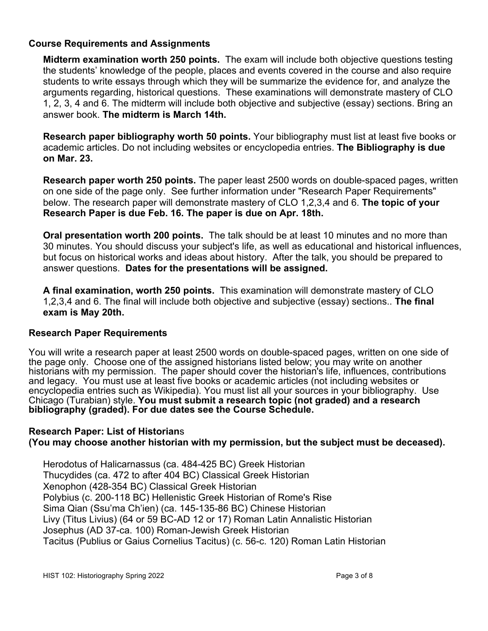### **Course Requirements and Assignments**

**Midterm examination worth 250 points.** The exam will include both objective questions testing the students' knowledge of the people, places and events covered in the course and also require students to write essays through which they will be summarize the evidence for, and analyze the arguments regarding, historical questions. These examinations will demonstrate mastery of CLO 1, 2, 3, 4 and 6. The midterm will include both objective and subjective (essay) sections. Bring an answer book. **The midterm is March 14th.**

**Research paper bibliography worth 50 points.** Your bibliography must list at least five books or academic articles. Do not including websites or encyclopedia entries. **The Bibliography is due on Mar. 23.**

**Research paper worth 250 points.** The paper least 2500 words on double-spaced pages, written on one side of the page only. See further information under "Research Paper Requirements" below. The research paper will demonstrate mastery of CLO 1,2,3,4 and 6. **The topic of your Research Paper is due Feb. 16. The paper is due on Apr. 18th.**

**Oral presentation worth 200 points.** The talk should be at least 10 minutes and no more than 30 minutes. You should discuss your subject's life, as well as educational and historical influences, but focus on historical works and ideas about history. After the talk, you should be prepared to answer questions. **Dates for the presentations will be assigned.**

**A final examination, worth 250 points.** This examination will demonstrate mastery of CLO 1,2,3,4 and 6. The final will include both objective and subjective (essay) sections.. **The final exam is May 20th.**

#### **Research Paper Requirements**

You will write a research paper at least 2500 words on double-spaced pages, written on one side of the page only. Choose one of the assigned historians listed below; you may write on another historians with my permission. The paper should cover the historian's life, influences, contributions and legacy. You must use at least five books or academic articles (not including websites or encyclopedia entries such as Wikipedia). You must list all your sources in your bibliography. Use Chicago (Turabian) style. **You must submit a research topic (not graded) and a research bibliography (graded). For due dates see the Course Schedule.**

## **Research Paper: List of Historian**s **(You may choose another historian with my permission, but the subject must be deceased).**

Herodotus of Halicarnassus (ca. 484-425 BC) Greek Historian Thucydides (ca. 472 to after 404 BC) Classical Greek Historian Xenophon (428-354 BC) Classical Greek Historian Polybius (c. 200-118 BC) Hellenistic Greek Historian of Rome's Rise Sima Qian (Ssu'ma Ch'ien) (ca. 145-135-86 BC) Chinese Historian Livy (Titus Livius) (64 or 59 BC-AD 12 or 17) Roman Latin Annalistic Historian Josephus (AD 37-ca. 100) Roman-Jewish Greek Historian Tacitus (Publius or Gaius Cornelius Tacitus) (c. 56-c. 120) Roman Latin Historian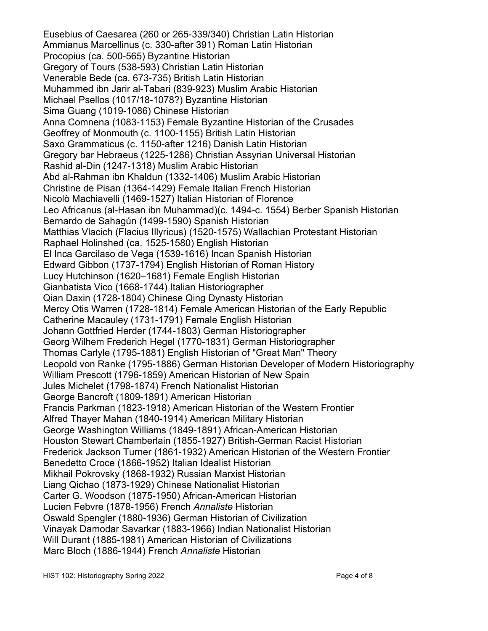Eusebius of Caesarea (260 or 265-339/340) Christian Latin Historian Ammianus Marcellinus (c. 330-after 391) Roman Latin Historian Procopius (ca. 500-565) Byzantine Historian Gregory of Tours (538-593) Christian Latin Historian Venerable Bede (ca. 673-735) British Latin Historian Muhammed ibn Jarir al-Tabari (839-923) Muslim Arabic Historian Michael Psellos (1017/18-1078?) Byzantine Historian Sima Guang (1019-1086) Chinese Historian Anna Comnena (1083-1153) Female Byzantine Historian of the Crusades Geoffrey of Monmouth (c. 1100-1155) British Latin Historian Saxo Grammaticus (c. 1150-after 1216) Danish Latin Historian Gregory bar Hebraeus (1225-1286) Christian Assyrian Universal Historian Rashid al-Din (1247-1318) Muslim Arabic Historian Abd al-Rahman ibn Khaldun (1332-1406) Muslim Arabic Historian Christine de Pisan (1364-1429) Female Italian French Historian Nicolò Machiavelli (1469-1527) Italian Historian of Florence Leo Africanus (al-Hasan ibn Muhammad)(c. 1494-c. 1554) Berber Spanish Historian Bernardo de Sahagún (1499-1590) Spanish Historian Matthias Vlacich (Flacius Illyricus) (1520-1575) Wallachian Protestant Historian Raphael Holinshed (ca. 1525-1580) English Historian El Inca Garcilaso de Vega (1539-1616) Incan Spanish Historian Edward Gibbon (1737-1794) English Historian of Roman History Lucy Hutchinson (1620–1681) Female English Historian Gianbatista Vico (1668-1744) Italian Historiographer Qian Daxin (1728-1804) Chinese Qing Dynasty Historian Mercy Otis Warren (1728-1814) Female American Historian of the Early Republic Catherine Macauley (1731-1791) Female English Historian Johann Gottfried Herder (1744-1803) German Historiographer Georg Wilhem Frederich Hegel (1770-1831) German Historiographer Thomas Carlyle (1795-1881) English Historian of "Great Man" Theory Leopold von Ranke (1795-1886) German Historian Developer of Modern Historiography William Prescott (1796-1859) American Historian of New Spain Jules Michelet (1798-1874) French Nationalist Historian George Bancroft (1809-1891) American Historian Francis Parkman (1823-1918) American Historian of the Western Frontier Alfred Thayer Mahan (1840-1914) American Military Historian George Washington Williams (1849-1891) African-American Historian Houston Stewart Chamberlain (1855-1927) British-German Racist Historian Frederick Jackson Turner (1861-1932) American Historian of the Western Frontier Benedetto Croce (1866-1952) Italian Idealist Historian Mikhail Pokrovsky (1868-1932) Russian Marxist Historian Liang Qichao (1873-1929) Chinese Nationalist Historian Carter G. Woodson (1875-1950) African-American Historian Lucien Febvre (1878-1956) French *Annaliste* Historian Oswald Spengler (1880-1936) German Historian of Civilization Vinayak Damodar Savarkar (1883-1966) Indian Nationalist Historian Will Durant (1885-1981) American Historian of Civilizations Marc Bloch (1886-1944) French *Annaliste* Historian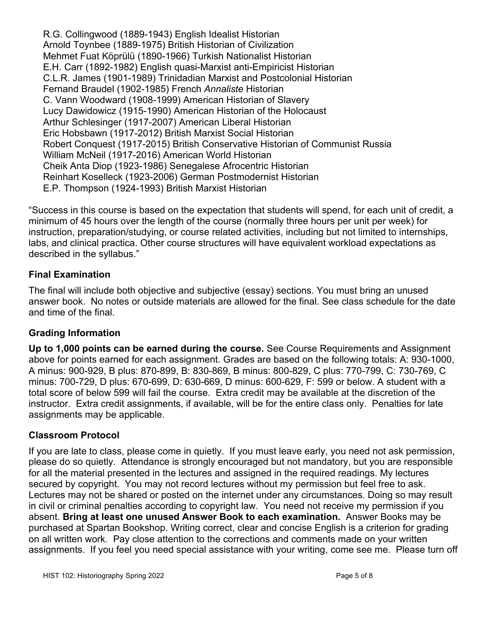R.G. Collingwood (1889-1943) English Idealist Historian Arnold Toynbee (1889-1975) British Historian of Civilization Mehmet Fuat Köprülü (1890-1966) Turkish Nationalist Historian E.H. Carr (1892-1982) English quasi-Marxist anti-Empiricist Historian C.L.R. James (1901-1989) Trinidadian Marxist and Postcolonial Historian Fernand Braudel (1902-1985) French *Annaliste* Historian C. Vann Woodward (1908-1999) American Historian of Slavery Lucy Dawidowicz (1915-1990) American Historian of the Holocaust Arthur Schlesinger (1917-2007) American Liberal Historian Eric Hobsbawn (1917-2012) British Marxist Social Historian Robert Conquest (1917-2015) British Conservative Historian of Communist Russia William McNeil (1917-2016) American World Historian Cheik Anta Diop (1923-1986) Senegalese Afrocentric Historian Reinhart Koselleck (1923-2006) German Postmodernist Historian E.P. Thompson (1924-1993) British Marxist Historian

"Success in this course is based on the expectation that students will spend, for each unit of credit, a minimum of 45 hours over the length of the course (normally three hours per unit per week) for instruction, preparation/studying, or course related activities, including but not limited to internships, labs, and clinical practica. Other course structures will have equivalent workload expectations as described in the syllabus."

# **Final Examination**

The final will include both objective and subjective (essay) sections. You must bring an unused answer book. No notes or outside materials are allowed for the final. See class schedule for the date and time of the final.

#### **Grading Information**

**Up to 1,000 points can be earned during the course.** See Course Requirements and Assignment above for points earned for each assignment. Grades are based on the following totals: A: 930-1000, A minus: 900-929, B plus: 870-899, B: 830-869, B minus: 800-829, C plus: 770-799, C: 730-769, C minus: 700-729, D plus: 670-699, D: 630-669, D minus: 600-629, F: 599 or below. A student with a total score of below 599 will fail the course. Extra credit may be available at the discretion of the instructor. Extra credit assignments, if available, will be for the entire class only. Penalties for late assignments may be applicable.

#### **Classroom Protocol**

If you are late to class, please come in quietly. If you must leave early, you need not ask permission, please do so quietly. Attendance is strongly encouraged but not mandatory, but you are responsible for all the material presented in the lectures and assigned in the required readings. My lectures secured by copyright. You may not record lectures without my permission but feel free to ask. Lectures may not be shared or posted on the internet under any circumstances. Doing so may result in civil or criminal penalties according to copyright law. You need not receive my permission if you absent. **Bring at least one unused Answer Book to each examination.** Answer Books may be purchased at Spartan Bookshop. Writing correct, clear and concise English is a criterion for grading on all written work. Pay close attention to the corrections and comments made on your written assignments. If you feel you need special assistance with your writing, come see me. Please turn off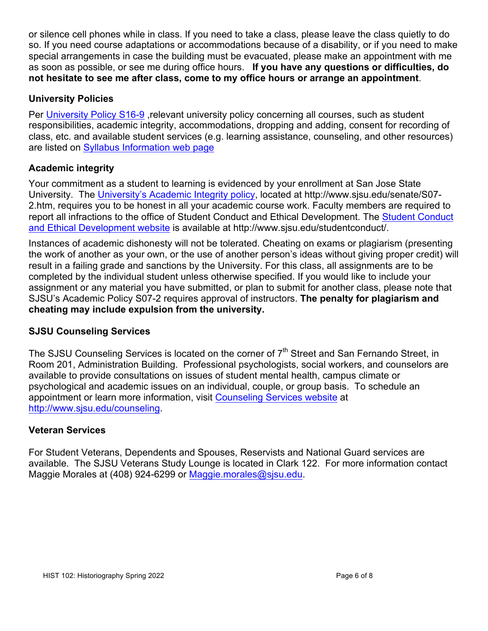or silence cell phones while in class. If you need to take a class, please leave the class quietly to do so. If you need course adaptations or accommodations because of a disability, or if you need to make special arrangements in case the building must be evacuated, please make an appointment with me as soon as possible, or see me during office hours. **If you have any questions or difficulties, do not hesitate to see me after class, come to my office hours or arrange an appointment**.

## **University Policies**

Per University Policy S16-9, relevant university policy concerning all courses, such as student responsibilities, academic integrity, accommodations, dropping and adding, consent for recording of class, etc. and available student services (e.g. learning assistance, counseling, and other resources) are listed on Syllabus Information web page

## **Academic integrity**

Your commitment as a student to learning is evidenced by your enrollment at San Jose State University. The University's Academic Integrity policy, located at http://www.sjsu.edu/senate/S07- 2.htm, requires you to be honest in all your academic course work. Faculty members are required to report all infractions to the office of Student Conduct and Ethical Development. The Student Conduct and Ethical Development website is available at http://www.sjsu.edu/studentconduct/.

Instances of academic dishonesty will not be tolerated. Cheating on exams or plagiarism (presenting the work of another as your own, or the use of another person's ideas without giving proper credit) will result in a failing grade and sanctions by the University. For this class, all assignments are to be completed by the individual student unless otherwise specified. If you would like to include your assignment or any material you have submitted, or plan to submit for another class, please note that SJSU's Academic Policy S07-2 requires approval of instructors. **The penalty for plagiarism and cheating may include expulsion from the university.**

#### **SJSU Counseling Services**

The SJSU Counseling Services is located on the corner of  $7<sup>th</sup>$  Street and San Fernando Street, in Room 201, Administration Building. Professional psychologists, social workers, and counselors are available to provide consultations on issues of student mental health, campus climate or psychological and academic issues on an individual, couple, or group basis. To schedule an appointment or learn more information, visit Counseling Services website at http://www.sjsu.edu/counseling.

#### **Veteran Services**

For Student Veterans, Dependents and Spouses, Reservists and National Guard services are available. The SJSU Veterans Study Lounge is located in Clark 122. For more information contact Maggie Morales at (408) 924-6299 or Maggie.morales@sisu.edu.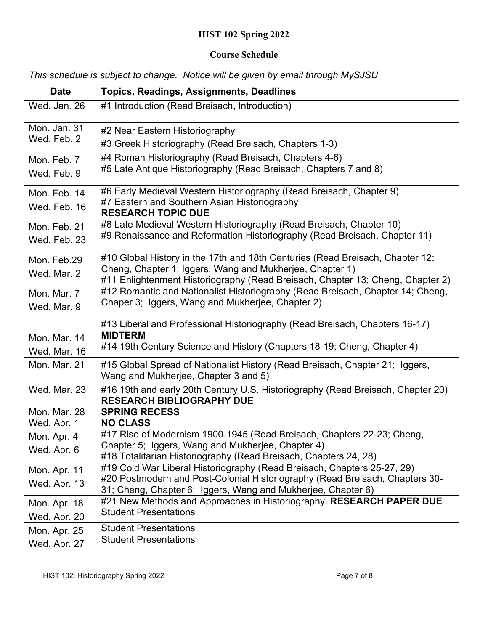# **HIST 102 Spring 2022**

#### **Course Schedule**

*This schedule is subject to change. Notice will be given by email through MySJSU*

| <b>Date</b>                  | <b>Topics, Readings, Assignments, Deadlines</b>                                                                                                                  |
|------------------------------|------------------------------------------------------------------------------------------------------------------------------------------------------------------|
| Wed. Jan. 26                 | #1 Introduction (Read Breisach, Introduction)                                                                                                                    |
| Mon. Jan. 31                 | #2 Near Eastern Historiography                                                                                                                                   |
| Wed. Feb. 2                  | #3 Greek Historiography (Read Breisach, Chapters 1-3)                                                                                                            |
| Mon. Feb. 7                  | #4 Roman Historiography (Read Breisach, Chapters 4-6)                                                                                                            |
| Wed. Feb. 9                  | #5 Late Antique Historiography (Read Breisach, Chapters 7 and 8)                                                                                                 |
| Mon. Feb. 14                 | #6 Early Medieval Western Historiography (Read Breisach, Chapter 9)                                                                                              |
| Wed. Feb. 16                 | #7 Eastern and Southern Asian Historiography<br><b>RESEARCH TOPIC DUE</b>                                                                                        |
| Mon. Feb. 21                 | #8 Late Medieval Western Historiography (Read Breisach, Chapter 10)                                                                                              |
| Wed. Feb. 23                 | #9 Renaissance and Reformation Historiography (Read Breisach, Chapter 11)                                                                                        |
| Mon. Feb.29                  | #10 Global History in the 17th and 18th Centuries (Read Breisach, Chapter 12;                                                                                    |
| Wed. Mar. 2                  | Cheng, Chapter 1; Iggers, Wang and Mukherjee, Chapter 1)                                                                                                         |
|                              | #11 Enlightenment Historiography (Read Breisach, Chapter 13; Cheng, Chapter 2)<br>#12 Romantic and Nationalist Historiography (Read Breisach, Chapter 14; Cheng, |
| Mon. Mar. 7<br>Wed. Mar. 9   | Chaper 3; Iggers, Wang and Mukherjee, Chapter 2)                                                                                                                 |
|                              |                                                                                                                                                                  |
|                              | #13 Liberal and Professional Historiography (Read Breisach, Chapters 16-17)<br><b>MIDTERM</b>                                                                    |
| Mon. Mar. 14<br>Wed. Mar. 16 | #14 19th Century Science and History (Chapters 18-19; Cheng, Chapter 4)                                                                                          |
| Mon. Mar. 21                 | #15 Global Spread of Nationalist History (Read Breisach, Chapter 21; Iggers,                                                                                     |
|                              | Wang and Mukherjee, Chapter 3 and 5)                                                                                                                             |
| Wed. Mar. 23                 | #16 19th and early 20th Century U.S. Historiography (Read Breisach, Chapter 20)<br><b>RESEARCH BIBLIOGRAPHY DUE</b>                                              |
| Mon. Mar. 28                 | <b>SPRING RECESS</b>                                                                                                                                             |
| Wed. Apr. 1                  | <b>NO CLASS</b>                                                                                                                                                  |
| Mon. Apr. 4                  | #17 Rise of Modernism 1900-1945 (Read Breisach, Chapters 22-23; Cheng,                                                                                           |
| Wed. Apr. 6                  | Chapter 5; Iggers, Wang and Mukherjee, Chapter 4)<br>#18 Totalitarian Historiography (Read Breisach, Chapters 24, 28)                                            |
| Mon. Apr. 11                 | #19 Cold War Liberal Historiography (Read Breisach, Chapters 25-27, 29)                                                                                          |
| Wed. Apr. 13                 | #20 Postmodern and Post-Colonial Historiography (Read Breisach, Chapters 30-                                                                                     |
|                              | 31; Cheng, Chapter 6; Iggers, Wang and Mukherjee, Chapter 6)<br>#21 New Methods and Approaches in Historiography. RESEARCH PAPER DUE                             |
| Mon. Apr. 18                 | <b>Student Presentations</b>                                                                                                                                     |
| Wed. Apr. 20                 | <b>Student Presentations</b>                                                                                                                                     |
| Mon. Apr. 25                 | <b>Student Presentations</b>                                                                                                                                     |
| Wed. Apr. 27                 |                                                                                                                                                                  |